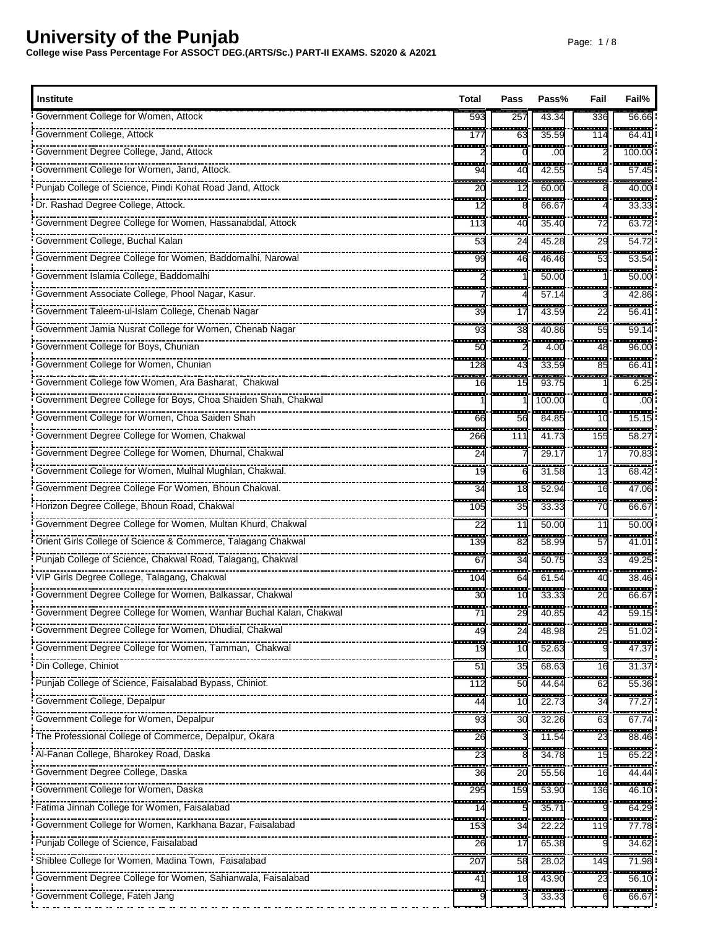| Government College for Women, Attock<br>257<br>43.34<br>336<br>593<br>56.66<br>---<br>-----<br>.<br>- - -<br>Government College, Attock<br>35.59<br>64.41<br>177<br>63<br>114<br>--------<br>.<br>an an<br>------<br>100.00<br>.00<br>$\overline{\phantom{a}}$<br>----<br>-----<br><del>.</del> .<br>------<br>Government College for Women, Jand, Attock.<br>42.55<br>94<br>40<br>54<br>57.45<br>$-$<br>œ<br>$\overline{\phantom{a}}$<br>.<br>Punjab College of Science, Pindi Kohat Road Jand, Attock<br>60.00<br>40.00<br>20<br>12<br>.<br>.<br>------<br>66.67<br>33.33<br>12<br>---<br>----<br>35.40<br>63.72<br>113<br>40<br>72<br>---<br>.<br><br>Government College, Buchal Kalan<br>45.28<br>53<br>24<br>29<br>54.7<br>.<br>---<br>.<br>------<br>Government Degree College for Women, Baddomalhi, Narowal<br>46.46<br>53.54<br>99<br>46<br>53<br>Government Islamia College, Baddomalhi<br>50.00<br>50.00<br>------<br>Government Associate College, Phool Nagar, Kasur.<br>57.14<br>42.86<br>- - -<br><b>STATISTICS</b><br>43.59<br>22<br>39<br>$56.4^{\circ}$<br>17<br>553<br>---<br>-----<br>---<br>Government Jamia Nusrat College for Women, Chenab Nagar<br>38<br>93<br>40.86<br>55<br>59.14<br>i<br>Government College for Boys, Chunian<br>50<br>4.00<br>96.00<br>48<br><b>1000</b><br>,,,,,,,,,,<br>-----<br>--------<br>-----<br>Government College for Women, Chunian<br>33.59<br>66.41<br>128<br>43<br>85<br>$\frac{1}{6.25}$<br>------<br>93.75<br>15<br>16<br>-----<br>Government Degree College for Boys, Choa Shaiden Shah, Chakwal<br>100.00<br>.00<br>a an a<br>a an<br>.<br>84.85<br>Government College for Women, Choa Saiden Shah<br>56<br>10<br>15.15<br>66<br>----<br>a an a<br>-------<br>------<br>------<br>Government Degree College for Women, Chakwal<br>155<br>266<br>111<br>41.73<br>58.27<br>---<br>Government Degree College for Women, Dhurnal, Chakwal<br>29.17<br>17<br>70.83<br>24<br>.<br>------<br>-----<br>-----<br>Government College for Women, Mulhal Mughlan, Chakwal.<br>31.58<br>13<br>19<br>68.42<br>6<br>a an<br>.<br>Government Degree College For Women, Bhoun Chakwal.<br>52.94<br>34<br>18<br>47.06<br>16<br>---<br>---<br>------<br><del>.</del> .<br>------<br>Horizon Degree College, Bhoun Road, Chakwal<br>33.33<br>66.67<br>35<br>70<br>105<br>$-$<br>---<br>------<br>$\overline{\phantom{a}}$<br>Government Degree College for Women, Multan Khurd, Chakwal<br>50.00<br>22<br>11<br>50.00<br>11<br>----<br>an a<br>a an<br><b>The Color</b><br>Orient Girls College of Science & Commerce, Talagang Chakwal<br>58.99<br>139<br>57<br>41.01<br>82<br>$-$<br>H<br>$- -$<br>Punjab College of Science, Chakwal Road, Talagang, Chakwal<br>34<br>50.75<br>49.25<br>67<br>33<br>---<br>÷,<br>$-$<br>61.54<br>38.46<br>64<br>40<br>104<br><b>STATE</b><br><b>COLOR</b><br>------<br>in m<br>Government Degree College for Women, Balkassar, Chakwal<br>33.33<br>30<br>20<br>66.67<br>10<br><del>.</del> .<br><del>.</del><br><del>.</del><br><del>--------</del><br><del>.</del><br>Government Degree College for Women, Wanhar Buchal Kalan, Chakwal<br>71<br>29<br>40.85<br>42<br>59.15<br><br>.<br>$\overline{\phantom{a}}$<br><del>.</del><br><br>covernment Degree College for Women, Dhudial, Chakwal<br>51.02<br>24<br>48.98<br>25<br>49<br><b>STAR</b><br><b>STAR</b><br>------<br>Government Degree College for Women, Tamman, Chakwal<br>52.63<br>47.37<br>19<br>10<br>.<br>÷<br>a a s<br><u> 222222</u><br>51<br>35<br>68.63<br>31.37<br>16<br>---<br>---<br>Punjab College of Science, Faisalabad Bypass, Chiniot.<br>112<br>44.64<br>55.36<br>50<br>62<br>-----------------------------<br>a sa<br>------<br>22.73<br>77.27<br>44<br>10<br>34<br><u> 111 - 11</u><br>Government College for Women, Depalpur<br>32.26<br>93<br>30<br>67.74<br>63<br>---<br>The Professional College of Commerce, Depalpur, Okara<br>11.54<br>88.46<br>26<br>23<br>÷<br>34.78<br>65.22<br>15<br>23<br>---<br>a an<br>----<br>------<br>44.44<br>36<br>20<br>55.56<br>16<br>Government College for Women, Daska<br>295<br>53.90<br>46.10<br>159<br>136<br>.<br>-----<br>-----<br>.<br>35.71<br>64.29<br>14<br>œ<br>$\frac{1}{77.78}$<br>----<br>22.22<br>153<br>34<br>119<br><br>---<br>-----<br>------<br>65.38<br>34.62<br>26<br>17<br>$\frac{1}{207}$<br>Shiblee College for Women, Madina Town, Faisalabad<br>$\frac{28.02}{28.02}$<br>149<br>71.98<br>58<br>---<br>a a s<br>.<br>.<br>------<br>Government Degree College for Women, Sahianwala, Faisalabad<br>43.90<br>23<br>56.10<br>41<br>18 | <b>Institute</b>                                         | Total | Pass | Pass% | Fail | Fail% |
|----------------------------------------------------------------------------------------------------------------------------------------------------------------------------------------------------------------------------------------------------------------------------------------------------------------------------------------------------------------------------------------------------------------------------------------------------------------------------------------------------------------------------------------------------------------------------------------------------------------------------------------------------------------------------------------------------------------------------------------------------------------------------------------------------------------------------------------------------------------------------------------------------------------------------------------------------------------------------------------------------------------------------------------------------------------------------------------------------------------------------------------------------------------------------------------------------------------------------------------------------------------------------------------------------------------------------------------------------------------------------------------------------------------------------------------------------------------------------------------------------------------------------------------------------------------------------------------------------------------------------------------------------------------------------------------------------------------------------------------------------------------------------------------------------------------------------------------------------------------------------------------------------------------------------------------------------------------------------------------------------------------------------------------------------------------------------------------------------------------------------------------------------------------------------------------------------------------------------------------------------------------------------------------------------------------------------------------------------------------------------------------------------------------------------------------------------------------------------------------------------------------------------------------------------------------------------------------------------------------------------------------------------------------------------------------------------------------------------------------------------------------------------------------------------------------------------------------------------------------------------------------------------------------------------------------------------------------------------------------------------------------------------------------------------------------------------------------------------------------------------------------------------------------------------------------------------------------------------------------------------------------------------------------------------------------------------------------------------------------------------------------------------------------------------------------------------------------------------------------------------------------------------------------------------------------------------------------------------------------------------------------------------------------------------------------------------------------------------------------------------------------------------------------------------------------------------------------------------------------------------------------------------------------------------------------------------------------------------------------------------------------------------------------------------------------------------------------------------------------------------------------------------------------------------------------------------------------------------------------------------------------------------------------------------------------------------------------------------------------------------------------------------------------------------------------------------------------------------------------------------------------------------------------------------------------|----------------------------------------------------------|-------|------|-------|------|-------|
|                                                                                                                                                                                                                                                                                                                                                                                                                                                                                                                                                                                                                                                                                                                                                                                                                                                                                                                                                                                                                                                                                                                                                                                                                                                                                                                                                                                                                                                                                                                                                                                                                                                                                                                                                                                                                                                                                                                                                                                                                                                                                                                                                                                                                                                                                                                                                                                                                                                                                                                                                                                                                                                                                                                                                                                                                                                                                                                                                                                                                                                                                                                                                                                                                                                                                                                                                                                                                                                                                                                                                                                                                                                                                                                                                                                                                                                                                                                                                                                                                                                                                                                                                                                                                                                                                                                                                                                                                                                                                                                                                                |                                                          |       |      |       |      |       |
|                                                                                                                                                                                                                                                                                                                                                                                                                                                                                                                                                                                                                                                                                                                                                                                                                                                                                                                                                                                                                                                                                                                                                                                                                                                                                                                                                                                                                                                                                                                                                                                                                                                                                                                                                                                                                                                                                                                                                                                                                                                                                                                                                                                                                                                                                                                                                                                                                                                                                                                                                                                                                                                                                                                                                                                                                                                                                                                                                                                                                                                                                                                                                                                                                                                                                                                                                                                                                                                                                                                                                                                                                                                                                                                                                                                                                                                                                                                                                                                                                                                                                                                                                                                                                                                                                                                                                                                                                                                                                                                                                                |                                                          |       |      |       |      |       |
|                                                                                                                                                                                                                                                                                                                                                                                                                                                                                                                                                                                                                                                                                                                                                                                                                                                                                                                                                                                                                                                                                                                                                                                                                                                                                                                                                                                                                                                                                                                                                                                                                                                                                                                                                                                                                                                                                                                                                                                                                                                                                                                                                                                                                                                                                                                                                                                                                                                                                                                                                                                                                                                                                                                                                                                                                                                                                                                                                                                                                                                                                                                                                                                                                                                                                                                                                                                                                                                                                                                                                                                                                                                                                                                                                                                                                                                                                                                                                                                                                                                                                                                                                                                                                                                                                                                                                                                                                                                                                                                                                                |                                                          |       |      |       |      |       |
|                                                                                                                                                                                                                                                                                                                                                                                                                                                                                                                                                                                                                                                                                                                                                                                                                                                                                                                                                                                                                                                                                                                                                                                                                                                                                                                                                                                                                                                                                                                                                                                                                                                                                                                                                                                                                                                                                                                                                                                                                                                                                                                                                                                                                                                                                                                                                                                                                                                                                                                                                                                                                                                                                                                                                                                                                                                                                                                                                                                                                                                                                                                                                                                                                                                                                                                                                                                                                                                                                                                                                                                                                                                                                                                                                                                                                                                                                                                                                                                                                                                                                                                                                                                                                                                                                                                                                                                                                                                                                                                                                                |                                                          |       |      |       |      |       |
|                                                                                                                                                                                                                                                                                                                                                                                                                                                                                                                                                                                                                                                                                                                                                                                                                                                                                                                                                                                                                                                                                                                                                                                                                                                                                                                                                                                                                                                                                                                                                                                                                                                                                                                                                                                                                                                                                                                                                                                                                                                                                                                                                                                                                                                                                                                                                                                                                                                                                                                                                                                                                                                                                                                                                                                                                                                                                                                                                                                                                                                                                                                                                                                                                                                                                                                                                                                                                                                                                                                                                                                                                                                                                                                                                                                                                                                                                                                                                                                                                                                                                                                                                                                                                                                                                                                                                                                                                                                                                                                                                                |                                                          |       |      |       |      |       |
|                                                                                                                                                                                                                                                                                                                                                                                                                                                                                                                                                                                                                                                                                                                                                                                                                                                                                                                                                                                                                                                                                                                                                                                                                                                                                                                                                                                                                                                                                                                                                                                                                                                                                                                                                                                                                                                                                                                                                                                                                                                                                                                                                                                                                                                                                                                                                                                                                                                                                                                                                                                                                                                                                                                                                                                                                                                                                                                                                                                                                                                                                                                                                                                                                                                                                                                                                                                                                                                                                                                                                                                                                                                                                                                                                                                                                                                                                                                                                                                                                                                                                                                                                                                                                                                                                                                                                                                                                                                                                                                                                                |                                                          |       |      |       |      |       |
|                                                                                                                                                                                                                                                                                                                                                                                                                                                                                                                                                                                                                                                                                                                                                                                                                                                                                                                                                                                                                                                                                                                                                                                                                                                                                                                                                                                                                                                                                                                                                                                                                                                                                                                                                                                                                                                                                                                                                                                                                                                                                                                                                                                                                                                                                                                                                                                                                                                                                                                                                                                                                                                                                                                                                                                                                                                                                                                                                                                                                                                                                                                                                                                                                                                                                                                                                                                                                                                                                                                                                                                                                                                                                                                                                                                                                                                                                                                                                                                                                                                                                                                                                                                                                                                                                                                                                                                                                                                                                                                                                                |                                                          |       |      |       |      |       |
|                                                                                                                                                                                                                                                                                                                                                                                                                                                                                                                                                                                                                                                                                                                                                                                                                                                                                                                                                                                                                                                                                                                                                                                                                                                                                                                                                                                                                                                                                                                                                                                                                                                                                                                                                                                                                                                                                                                                                                                                                                                                                                                                                                                                                                                                                                                                                                                                                                                                                                                                                                                                                                                                                                                                                                                                                                                                                                                                                                                                                                                                                                                                                                                                                                                                                                                                                                                                                                                                                                                                                                                                                                                                                                                                                                                                                                                                                                                                                                                                                                                                                                                                                                                                                                                                                                                                                                                                                                                                                                                                                                |                                                          |       |      |       |      |       |
|                                                                                                                                                                                                                                                                                                                                                                                                                                                                                                                                                                                                                                                                                                                                                                                                                                                                                                                                                                                                                                                                                                                                                                                                                                                                                                                                                                                                                                                                                                                                                                                                                                                                                                                                                                                                                                                                                                                                                                                                                                                                                                                                                                                                                                                                                                                                                                                                                                                                                                                                                                                                                                                                                                                                                                                                                                                                                                                                                                                                                                                                                                                                                                                                                                                                                                                                                                                                                                                                                                                                                                                                                                                                                                                                                                                                                                                                                                                                                                                                                                                                                                                                                                                                                                                                                                                                                                                                                                                                                                                                                                |                                                          |       |      |       |      |       |
|                                                                                                                                                                                                                                                                                                                                                                                                                                                                                                                                                                                                                                                                                                                                                                                                                                                                                                                                                                                                                                                                                                                                                                                                                                                                                                                                                                                                                                                                                                                                                                                                                                                                                                                                                                                                                                                                                                                                                                                                                                                                                                                                                                                                                                                                                                                                                                                                                                                                                                                                                                                                                                                                                                                                                                                                                                                                                                                                                                                                                                                                                                                                                                                                                                                                                                                                                                                                                                                                                                                                                                                                                                                                                                                                                                                                                                                                                                                                                                                                                                                                                                                                                                                                                                                                                                                                                                                                                                                                                                                                                                |                                                          |       |      |       |      |       |
|                                                                                                                                                                                                                                                                                                                                                                                                                                                                                                                                                                                                                                                                                                                                                                                                                                                                                                                                                                                                                                                                                                                                                                                                                                                                                                                                                                                                                                                                                                                                                                                                                                                                                                                                                                                                                                                                                                                                                                                                                                                                                                                                                                                                                                                                                                                                                                                                                                                                                                                                                                                                                                                                                                                                                                                                                                                                                                                                                                                                                                                                                                                                                                                                                                                                                                                                                                                                                                                                                                                                                                                                                                                                                                                                                                                                                                                                                                                                                                                                                                                                                                                                                                                                                                                                                                                                                                                                                                                                                                                                                                |                                                          |       |      |       |      |       |
|                                                                                                                                                                                                                                                                                                                                                                                                                                                                                                                                                                                                                                                                                                                                                                                                                                                                                                                                                                                                                                                                                                                                                                                                                                                                                                                                                                                                                                                                                                                                                                                                                                                                                                                                                                                                                                                                                                                                                                                                                                                                                                                                                                                                                                                                                                                                                                                                                                                                                                                                                                                                                                                                                                                                                                                                                                                                                                                                                                                                                                                                                                                                                                                                                                                                                                                                                                                                                                                                                                                                                                                                                                                                                                                                                                                                                                                                                                                                                                                                                                                                                                                                                                                                                                                                                                                                                                                                                                                                                                                                                                |                                                          |       |      |       |      |       |
|                                                                                                                                                                                                                                                                                                                                                                                                                                                                                                                                                                                                                                                                                                                                                                                                                                                                                                                                                                                                                                                                                                                                                                                                                                                                                                                                                                                                                                                                                                                                                                                                                                                                                                                                                                                                                                                                                                                                                                                                                                                                                                                                                                                                                                                                                                                                                                                                                                                                                                                                                                                                                                                                                                                                                                                                                                                                                                                                                                                                                                                                                                                                                                                                                                                                                                                                                                                                                                                                                                                                                                                                                                                                                                                                                                                                                                                                                                                                                                                                                                                                                                                                                                                                                                                                                                                                                                                                                                                                                                                                                                |                                                          |       |      |       |      |       |
|                                                                                                                                                                                                                                                                                                                                                                                                                                                                                                                                                                                                                                                                                                                                                                                                                                                                                                                                                                                                                                                                                                                                                                                                                                                                                                                                                                                                                                                                                                                                                                                                                                                                                                                                                                                                                                                                                                                                                                                                                                                                                                                                                                                                                                                                                                                                                                                                                                                                                                                                                                                                                                                                                                                                                                                                                                                                                                                                                                                                                                                                                                                                                                                                                                                                                                                                                                                                                                                                                                                                                                                                                                                                                                                                                                                                                                                                                                                                                                                                                                                                                                                                                                                                                                                                                                                                                                                                                                                                                                                                                                |                                                          |       |      |       |      |       |
|                                                                                                                                                                                                                                                                                                                                                                                                                                                                                                                                                                                                                                                                                                                                                                                                                                                                                                                                                                                                                                                                                                                                                                                                                                                                                                                                                                                                                                                                                                                                                                                                                                                                                                                                                                                                                                                                                                                                                                                                                                                                                                                                                                                                                                                                                                                                                                                                                                                                                                                                                                                                                                                                                                                                                                                                                                                                                                                                                                                                                                                                                                                                                                                                                                                                                                                                                                                                                                                                                                                                                                                                                                                                                                                                                                                                                                                                                                                                                                                                                                                                                                                                                                                                                                                                                                                                                                                                                                                                                                                                                                |                                                          |       |      |       |      |       |
|                                                                                                                                                                                                                                                                                                                                                                                                                                                                                                                                                                                                                                                                                                                                                                                                                                                                                                                                                                                                                                                                                                                                                                                                                                                                                                                                                                                                                                                                                                                                                                                                                                                                                                                                                                                                                                                                                                                                                                                                                                                                                                                                                                                                                                                                                                                                                                                                                                                                                                                                                                                                                                                                                                                                                                                                                                                                                                                                                                                                                                                                                                                                                                                                                                                                                                                                                                                                                                                                                                                                                                                                                                                                                                                                                                                                                                                                                                                                                                                                                                                                                                                                                                                                                                                                                                                                                                                                                                                                                                                                                                |                                                          |       |      |       |      |       |
|                                                                                                                                                                                                                                                                                                                                                                                                                                                                                                                                                                                                                                                                                                                                                                                                                                                                                                                                                                                                                                                                                                                                                                                                                                                                                                                                                                                                                                                                                                                                                                                                                                                                                                                                                                                                                                                                                                                                                                                                                                                                                                                                                                                                                                                                                                                                                                                                                                                                                                                                                                                                                                                                                                                                                                                                                                                                                                                                                                                                                                                                                                                                                                                                                                                                                                                                                                                                                                                                                                                                                                                                                                                                                                                                                                                                                                                                                                                                                                                                                                                                                                                                                                                                                                                                                                                                                                                                                                                                                                                                                                |                                                          |       |      |       |      |       |
|                                                                                                                                                                                                                                                                                                                                                                                                                                                                                                                                                                                                                                                                                                                                                                                                                                                                                                                                                                                                                                                                                                                                                                                                                                                                                                                                                                                                                                                                                                                                                                                                                                                                                                                                                                                                                                                                                                                                                                                                                                                                                                                                                                                                                                                                                                                                                                                                                                                                                                                                                                                                                                                                                                                                                                                                                                                                                                                                                                                                                                                                                                                                                                                                                                                                                                                                                                                                                                                                                                                                                                                                                                                                                                                                                                                                                                                                                                                                                                                                                                                                                                                                                                                                                                                                                                                                                                                                                                                                                                                                                                |                                                          |       |      |       |      |       |
|                                                                                                                                                                                                                                                                                                                                                                                                                                                                                                                                                                                                                                                                                                                                                                                                                                                                                                                                                                                                                                                                                                                                                                                                                                                                                                                                                                                                                                                                                                                                                                                                                                                                                                                                                                                                                                                                                                                                                                                                                                                                                                                                                                                                                                                                                                                                                                                                                                                                                                                                                                                                                                                                                                                                                                                                                                                                                                                                                                                                                                                                                                                                                                                                                                                                                                                                                                                                                                                                                                                                                                                                                                                                                                                                                                                                                                                                                                                                                                                                                                                                                                                                                                                                                                                                                                                                                                                                                                                                                                                                                                |                                                          |       |      |       |      |       |
|                                                                                                                                                                                                                                                                                                                                                                                                                                                                                                                                                                                                                                                                                                                                                                                                                                                                                                                                                                                                                                                                                                                                                                                                                                                                                                                                                                                                                                                                                                                                                                                                                                                                                                                                                                                                                                                                                                                                                                                                                                                                                                                                                                                                                                                                                                                                                                                                                                                                                                                                                                                                                                                                                                                                                                                                                                                                                                                                                                                                                                                                                                                                                                                                                                                                                                                                                                                                                                                                                                                                                                                                                                                                                                                                                                                                                                                                                                                                                                                                                                                                                                                                                                                                                                                                                                                                                                                                                                                                                                                                                                |                                                          |       |      |       |      |       |
|                                                                                                                                                                                                                                                                                                                                                                                                                                                                                                                                                                                                                                                                                                                                                                                                                                                                                                                                                                                                                                                                                                                                                                                                                                                                                                                                                                                                                                                                                                                                                                                                                                                                                                                                                                                                                                                                                                                                                                                                                                                                                                                                                                                                                                                                                                                                                                                                                                                                                                                                                                                                                                                                                                                                                                                                                                                                                                                                                                                                                                                                                                                                                                                                                                                                                                                                                                                                                                                                                                                                                                                                                                                                                                                                                                                                                                                                                                                                                                                                                                                                                                                                                                                                                                                                                                                                                                                                                                                                                                                                                                |                                                          |       |      |       |      |       |
|                                                                                                                                                                                                                                                                                                                                                                                                                                                                                                                                                                                                                                                                                                                                                                                                                                                                                                                                                                                                                                                                                                                                                                                                                                                                                                                                                                                                                                                                                                                                                                                                                                                                                                                                                                                                                                                                                                                                                                                                                                                                                                                                                                                                                                                                                                                                                                                                                                                                                                                                                                                                                                                                                                                                                                                                                                                                                                                                                                                                                                                                                                                                                                                                                                                                                                                                                                                                                                                                                                                                                                                                                                                                                                                                                                                                                                                                                                                                                                                                                                                                                                                                                                                                                                                                                                                                                                                                                                                                                                                                                                |                                                          |       |      |       |      |       |
|                                                                                                                                                                                                                                                                                                                                                                                                                                                                                                                                                                                                                                                                                                                                                                                                                                                                                                                                                                                                                                                                                                                                                                                                                                                                                                                                                                                                                                                                                                                                                                                                                                                                                                                                                                                                                                                                                                                                                                                                                                                                                                                                                                                                                                                                                                                                                                                                                                                                                                                                                                                                                                                                                                                                                                                                                                                                                                                                                                                                                                                                                                                                                                                                                                                                                                                                                                                                                                                                                                                                                                                                                                                                                                                                                                                                                                                                                                                                                                                                                                                                                                                                                                                                                                                                                                                                                                                                                                                                                                                                                                |                                                          |       |      |       |      |       |
|                                                                                                                                                                                                                                                                                                                                                                                                                                                                                                                                                                                                                                                                                                                                                                                                                                                                                                                                                                                                                                                                                                                                                                                                                                                                                                                                                                                                                                                                                                                                                                                                                                                                                                                                                                                                                                                                                                                                                                                                                                                                                                                                                                                                                                                                                                                                                                                                                                                                                                                                                                                                                                                                                                                                                                                                                                                                                                                                                                                                                                                                                                                                                                                                                                                                                                                                                                                                                                                                                                                                                                                                                                                                                                                                                                                                                                                                                                                                                                                                                                                                                                                                                                                                                                                                                                                                                                                                                                                                                                                                                                |                                                          |       |      |       |      |       |
|                                                                                                                                                                                                                                                                                                                                                                                                                                                                                                                                                                                                                                                                                                                                                                                                                                                                                                                                                                                                                                                                                                                                                                                                                                                                                                                                                                                                                                                                                                                                                                                                                                                                                                                                                                                                                                                                                                                                                                                                                                                                                                                                                                                                                                                                                                                                                                                                                                                                                                                                                                                                                                                                                                                                                                                                                                                                                                                                                                                                                                                                                                                                                                                                                                                                                                                                                                                                                                                                                                                                                                                                                                                                                                                                                                                                                                                                                                                                                                                                                                                                                                                                                                                                                                                                                                                                                                                                                                                                                                                                                                |                                                          |       |      |       |      |       |
|                                                                                                                                                                                                                                                                                                                                                                                                                                                                                                                                                                                                                                                                                                                                                                                                                                                                                                                                                                                                                                                                                                                                                                                                                                                                                                                                                                                                                                                                                                                                                                                                                                                                                                                                                                                                                                                                                                                                                                                                                                                                                                                                                                                                                                                                                                                                                                                                                                                                                                                                                                                                                                                                                                                                                                                                                                                                                                                                                                                                                                                                                                                                                                                                                                                                                                                                                                                                                                                                                                                                                                                                                                                                                                                                                                                                                                                                                                                                                                                                                                                                                                                                                                                                                                                                                                                                                                                                                                                                                                                                                                |                                                          |       |      |       |      |       |
|                                                                                                                                                                                                                                                                                                                                                                                                                                                                                                                                                                                                                                                                                                                                                                                                                                                                                                                                                                                                                                                                                                                                                                                                                                                                                                                                                                                                                                                                                                                                                                                                                                                                                                                                                                                                                                                                                                                                                                                                                                                                                                                                                                                                                                                                                                                                                                                                                                                                                                                                                                                                                                                                                                                                                                                                                                                                                                                                                                                                                                                                                                                                                                                                                                                                                                                                                                                                                                                                                                                                                                                                                                                                                                                                                                                                                                                                                                                                                                                                                                                                                                                                                                                                                                                                                                                                                                                                                                                                                                                                                                |                                                          |       |      |       |      |       |
|                                                                                                                                                                                                                                                                                                                                                                                                                                                                                                                                                                                                                                                                                                                                                                                                                                                                                                                                                                                                                                                                                                                                                                                                                                                                                                                                                                                                                                                                                                                                                                                                                                                                                                                                                                                                                                                                                                                                                                                                                                                                                                                                                                                                                                                                                                                                                                                                                                                                                                                                                                                                                                                                                                                                                                                                                                                                                                                                                                                                                                                                                                                                                                                                                                                                                                                                                                                                                                                                                                                                                                                                                                                                                                                                                                                                                                                                                                                                                                                                                                                                                                                                                                                                                                                                                                                                                                                                                                                                                                                                                                |                                                          |       |      |       |      |       |
|                                                                                                                                                                                                                                                                                                                                                                                                                                                                                                                                                                                                                                                                                                                                                                                                                                                                                                                                                                                                                                                                                                                                                                                                                                                                                                                                                                                                                                                                                                                                                                                                                                                                                                                                                                                                                                                                                                                                                                                                                                                                                                                                                                                                                                                                                                                                                                                                                                                                                                                                                                                                                                                                                                                                                                                                                                                                                                                                                                                                                                                                                                                                                                                                                                                                                                                                                                                                                                                                                                                                                                                                                                                                                                                                                                                                                                                                                                                                                                                                                                                                                                                                                                                                                                                                                                                                                                                                                                                                                                                                                                |                                                          |       |      |       |      |       |
|                                                                                                                                                                                                                                                                                                                                                                                                                                                                                                                                                                                                                                                                                                                                                                                                                                                                                                                                                                                                                                                                                                                                                                                                                                                                                                                                                                                                                                                                                                                                                                                                                                                                                                                                                                                                                                                                                                                                                                                                                                                                                                                                                                                                                                                                                                                                                                                                                                                                                                                                                                                                                                                                                                                                                                                                                                                                                                                                                                                                                                                                                                                                                                                                                                                                                                                                                                                                                                                                                                                                                                                                                                                                                                                                                                                                                                                                                                                                                                                                                                                                                                                                                                                                                                                                                                                                                                                                                                                                                                                                                                |                                                          |       |      |       |      |       |
|                                                                                                                                                                                                                                                                                                                                                                                                                                                                                                                                                                                                                                                                                                                                                                                                                                                                                                                                                                                                                                                                                                                                                                                                                                                                                                                                                                                                                                                                                                                                                                                                                                                                                                                                                                                                                                                                                                                                                                                                                                                                                                                                                                                                                                                                                                                                                                                                                                                                                                                                                                                                                                                                                                                                                                                                                                                                                                                                                                                                                                                                                                                                                                                                                                                                                                                                                                                                                                                                                                                                                                                                                                                                                                                                                                                                                                                                                                                                                                                                                                                                                                                                                                                                                                                                                                                                                                                                                                                                                                                                                                |                                                          |       |      |       |      |       |
|                                                                                                                                                                                                                                                                                                                                                                                                                                                                                                                                                                                                                                                                                                                                                                                                                                                                                                                                                                                                                                                                                                                                                                                                                                                                                                                                                                                                                                                                                                                                                                                                                                                                                                                                                                                                                                                                                                                                                                                                                                                                                                                                                                                                                                                                                                                                                                                                                                                                                                                                                                                                                                                                                                                                                                                                                                                                                                                                                                                                                                                                                                                                                                                                                                                                                                                                                                                                                                                                                                                                                                                                                                                                                                                                                                                                                                                                                                                                                                                                                                                                                                                                                                                                                                                                                                                                                                                                                                                                                                                                                                | Din College, Chiniot                                     |       |      |       |      |       |
|                                                                                                                                                                                                                                                                                                                                                                                                                                                                                                                                                                                                                                                                                                                                                                                                                                                                                                                                                                                                                                                                                                                                                                                                                                                                                                                                                                                                                                                                                                                                                                                                                                                                                                                                                                                                                                                                                                                                                                                                                                                                                                                                                                                                                                                                                                                                                                                                                                                                                                                                                                                                                                                                                                                                                                                                                                                                                                                                                                                                                                                                                                                                                                                                                                                                                                                                                                                                                                                                                                                                                                                                                                                                                                                                                                                                                                                                                                                                                                                                                                                                                                                                                                                                                                                                                                                                                                                                                                                                                                                                                                |                                                          |       |      |       |      |       |
|                                                                                                                                                                                                                                                                                                                                                                                                                                                                                                                                                                                                                                                                                                                                                                                                                                                                                                                                                                                                                                                                                                                                                                                                                                                                                                                                                                                                                                                                                                                                                                                                                                                                                                                                                                                                                                                                                                                                                                                                                                                                                                                                                                                                                                                                                                                                                                                                                                                                                                                                                                                                                                                                                                                                                                                                                                                                                                                                                                                                                                                                                                                                                                                                                                                                                                                                                                                                                                                                                                                                                                                                                                                                                                                                                                                                                                                                                                                                                                                                                                                                                                                                                                                                                                                                                                                                                                                                                                                                                                                                                                | Government College, Depalpur                             |       |      |       |      |       |
|                                                                                                                                                                                                                                                                                                                                                                                                                                                                                                                                                                                                                                                                                                                                                                                                                                                                                                                                                                                                                                                                                                                                                                                                                                                                                                                                                                                                                                                                                                                                                                                                                                                                                                                                                                                                                                                                                                                                                                                                                                                                                                                                                                                                                                                                                                                                                                                                                                                                                                                                                                                                                                                                                                                                                                                                                                                                                                                                                                                                                                                                                                                                                                                                                                                                                                                                                                                                                                                                                                                                                                                                                                                                                                                                                                                                                                                                                                                                                                                                                                                                                                                                                                                                                                                                                                                                                                                                                                                                                                                                                                |                                                          |       |      |       |      |       |
|                                                                                                                                                                                                                                                                                                                                                                                                                                                                                                                                                                                                                                                                                                                                                                                                                                                                                                                                                                                                                                                                                                                                                                                                                                                                                                                                                                                                                                                                                                                                                                                                                                                                                                                                                                                                                                                                                                                                                                                                                                                                                                                                                                                                                                                                                                                                                                                                                                                                                                                                                                                                                                                                                                                                                                                                                                                                                                                                                                                                                                                                                                                                                                                                                                                                                                                                                                                                                                                                                                                                                                                                                                                                                                                                                                                                                                                                                                                                                                                                                                                                                                                                                                                                                                                                                                                                                                                                                                                                                                                                                                |                                                          |       |      |       |      |       |
|                                                                                                                                                                                                                                                                                                                                                                                                                                                                                                                                                                                                                                                                                                                                                                                                                                                                                                                                                                                                                                                                                                                                                                                                                                                                                                                                                                                                                                                                                                                                                                                                                                                                                                                                                                                                                                                                                                                                                                                                                                                                                                                                                                                                                                                                                                                                                                                                                                                                                                                                                                                                                                                                                                                                                                                                                                                                                                                                                                                                                                                                                                                                                                                                                                                                                                                                                                                                                                                                                                                                                                                                                                                                                                                                                                                                                                                                                                                                                                                                                                                                                                                                                                                                                                                                                                                                                                                                                                                                                                                                                                |                                                          |       |      |       |      |       |
|                                                                                                                                                                                                                                                                                                                                                                                                                                                                                                                                                                                                                                                                                                                                                                                                                                                                                                                                                                                                                                                                                                                                                                                                                                                                                                                                                                                                                                                                                                                                                                                                                                                                                                                                                                                                                                                                                                                                                                                                                                                                                                                                                                                                                                                                                                                                                                                                                                                                                                                                                                                                                                                                                                                                                                                                                                                                                                                                                                                                                                                                                                                                                                                                                                                                                                                                                                                                                                                                                                                                                                                                                                                                                                                                                                                                                                                                                                                                                                                                                                                                                                                                                                                                                                                                                                                                                                                                                                                                                                                                                                |                                                          |       |      |       |      |       |
|                                                                                                                                                                                                                                                                                                                                                                                                                                                                                                                                                                                                                                                                                                                                                                                                                                                                                                                                                                                                                                                                                                                                                                                                                                                                                                                                                                                                                                                                                                                                                                                                                                                                                                                                                                                                                                                                                                                                                                                                                                                                                                                                                                                                                                                                                                                                                                                                                                                                                                                                                                                                                                                                                                                                                                                                                                                                                                                                                                                                                                                                                                                                                                                                                                                                                                                                                                                                                                                                                                                                                                                                                                                                                                                                                                                                                                                                                                                                                                                                                                                                                                                                                                                                                                                                                                                                                                                                                                                                                                                                                                |                                                          |       |      |       |      |       |
|                                                                                                                                                                                                                                                                                                                                                                                                                                                                                                                                                                                                                                                                                                                                                                                                                                                                                                                                                                                                                                                                                                                                                                                                                                                                                                                                                                                                                                                                                                                                                                                                                                                                                                                                                                                                                                                                                                                                                                                                                                                                                                                                                                                                                                                                                                                                                                                                                                                                                                                                                                                                                                                                                                                                                                                                                                                                                                                                                                                                                                                                                                                                                                                                                                                                                                                                                                                                                                                                                                                                                                                                                                                                                                                                                                                                                                                                                                                                                                                                                                                                                                                                                                                                                                                                                                                                                                                                                                                                                                                                                                | Fatima Jinnah College for Women, Faisalabad              |       |      |       |      |       |
|                                                                                                                                                                                                                                                                                                                                                                                                                                                                                                                                                                                                                                                                                                                                                                                                                                                                                                                                                                                                                                                                                                                                                                                                                                                                                                                                                                                                                                                                                                                                                                                                                                                                                                                                                                                                                                                                                                                                                                                                                                                                                                                                                                                                                                                                                                                                                                                                                                                                                                                                                                                                                                                                                                                                                                                                                                                                                                                                                                                                                                                                                                                                                                                                                                                                                                                                                                                                                                                                                                                                                                                                                                                                                                                                                                                                                                                                                                                                                                                                                                                                                                                                                                                                                                                                                                                                                                                                                                                                                                                                                                | Government College for Women, Karkhana Bazar, Faisalabad |       |      |       |      |       |
|                                                                                                                                                                                                                                                                                                                                                                                                                                                                                                                                                                                                                                                                                                                                                                                                                                                                                                                                                                                                                                                                                                                                                                                                                                                                                                                                                                                                                                                                                                                                                                                                                                                                                                                                                                                                                                                                                                                                                                                                                                                                                                                                                                                                                                                                                                                                                                                                                                                                                                                                                                                                                                                                                                                                                                                                                                                                                                                                                                                                                                                                                                                                                                                                                                                                                                                                                                                                                                                                                                                                                                                                                                                                                                                                                                                                                                                                                                                                                                                                                                                                                                                                                                                                                                                                                                                                                                                                                                                                                                                                                                | Punjab College of Science, Faisalabad                    |       |      |       |      |       |
|                                                                                                                                                                                                                                                                                                                                                                                                                                                                                                                                                                                                                                                                                                                                                                                                                                                                                                                                                                                                                                                                                                                                                                                                                                                                                                                                                                                                                                                                                                                                                                                                                                                                                                                                                                                                                                                                                                                                                                                                                                                                                                                                                                                                                                                                                                                                                                                                                                                                                                                                                                                                                                                                                                                                                                                                                                                                                                                                                                                                                                                                                                                                                                                                                                                                                                                                                                                                                                                                                                                                                                                                                                                                                                                                                                                                                                                                                                                                                                                                                                                                                                                                                                                                                                                                                                                                                                                                                                                                                                                                                                |                                                          |       |      |       |      |       |
|                                                                                                                                                                                                                                                                                                                                                                                                                                                                                                                                                                                                                                                                                                                                                                                                                                                                                                                                                                                                                                                                                                                                                                                                                                                                                                                                                                                                                                                                                                                                                                                                                                                                                                                                                                                                                                                                                                                                                                                                                                                                                                                                                                                                                                                                                                                                                                                                                                                                                                                                                                                                                                                                                                                                                                                                                                                                                                                                                                                                                                                                                                                                                                                                                                                                                                                                                                                                                                                                                                                                                                                                                                                                                                                                                                                                                                                                                                                                                                                                                                                                                                                                                                                                                                                                                                                                                                                                                                                                                                                                                                |                                                          |       |      |       |      |       |
|                                                                                                                                                                                                                                                                                                                                                                                                                                                                                                                                                                                                                                                                                                                                                                                                                                                                                                                                                                                                                                                                                                                                                                                                                                                                                                                                                                                                                                                                                                                                                                                                                                                                                                                                                                                                                                                                                                                                                                                                                                                                                                                                                                                                                                                                                                                                                                                                                                                                                                                                                                                                                                                                                                                                                                                                                                                                                                                                                                                                                                                                                                                                                                                                                                                                                                                                                                                                                                                                                                                                                                                                                                                                                                                                                                                                                                                                                                                                                                                                                                                                                                                                                                                                                                                                                                                                                                                                                                                                                                                                                                | Government College, Fateh Jang                           |       |      | 33.33 |      | 66.67 |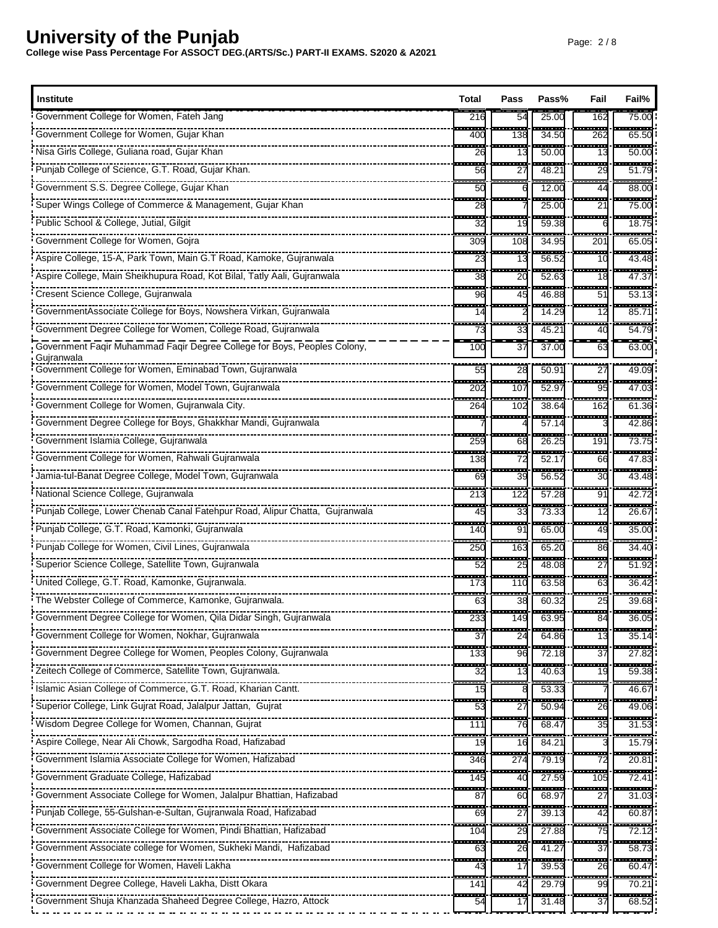| Institute                                                                                                       | Total                | Pass                   | Pass%                 | Fail                           | Fail%             |
|-----------------------------------------------------------------------------------------------------------------|----------------------|------------------------|-----------------------|--------------------------------|-------------------|
| Government College for Women, Fateh Jang                                                                        | 216                  | 54                     | 25.00                 | 162                            | 75.00             |
| Government College for Women, Gujar Khan                                                                        | ----<br>400          | -------<br>138         | <br>34.50             | an an a<br>262                 | 65.50             |
|                                                                                                                 | ш.<br>26             | in a s<br>13           | -----<br>50.00        | - <del>-------</del><br>13     | -------<br>50.00  |
| Punjab College of Science, G.T. Road, Gujar Khan.                                                               | H<br>56              | ÷<br>27                | 48.21                 | ------<br>29                   | -----<br>51.79    |
| Government S.S. Degree College, Gujar Khan                                                                      | 50                   |                        | 12.00                 | . <b>.</b> .<br>44             | ------<br>88.00   |
| Super Wings College of Commerce & Management, Gujar Khan                                                        | man a<br>28          | -------                | -------<br>25.00      | --------<br>21                 | -------<br>75.00  |
| Public School & College, Jutial, Gilgit                                                                         | 32                   | 19                     | 59.38                 | ------                         | ------<br>18.75   |
| Government College for Women, Gojra                                                                             | ---<br>309           | ----<br>108            | ------<br>34.95       | ------<br>201                  | ------<br>65.05   |
| Aspire College, 15-A, Park Town, Main G.T Road, Kamoke, Gujranwala                                              | <b>TELESCO</b><br>23 | an an<br>13            | 56.52                 | -------<br>10                  | -------<br>43.4   |
| Aspire College, Main Sheikhupura Road, Kot Bilal, Tatly Aali, Gujranwala                                        | 553<br>38            | ---<br>20              | 52.63                 | $-1$<br>18                     | ----<br>47.37     |
| Cresent Science College, Gujranwala                                                                             | H<br>96              | ---<br>45              | 46.88                 | ---<br>51                      | ------<br>53.1    |
| GovernmentAssociate College for Boys, Nowshera Virkan, Gujranwala                                               | m.<br>14             | <u>.</u>               | 14.29                 | <u>.</u><br>12                 | ------<br>85.7    |
| Government Degree College for Women, College Road, Gujranwala                                                   | ---<br>73            | ---<br>33              | $45.2^{\circ}$        | ------<br>40                   | -------<br>54.7   |
| Government Faqir Muhammad Faqir Degree College for Boys, Peoples Colony,<br>Gujranwala                          | 100                  | $\overline{37}$        | 37.00                 | 63                             | 63.00             |
| Government College for Women, Eminabad Town, Gujranwala                                                         | 55                   | $\frac{1}{28}$         | 50.9'                 | $\overline{27}$                | 49.09             |
| Government College for Women, Model Town, Gujranwala                                                            | ---<br>202           | -------<br>107         | .<br>52.97            | .<br>95                        | .<br>47.03        |
|                                                                                                                 | œ.<br>264            | 102                    | 38.64                 | <u> 1980 - 199</u><br>162      | ------<br>61.36   |
| Government Degree College for Boys, Ghakkhar Mandi, Gujranwala                                                  | ---                  | <del>.</del>           | ------<br>57.14       | <del>.</del>                   | ------<br>42.86   |
|                                                                                                                 | ---<br>259           | 68                     | 26.25                 | -----<br>191                   | .<br>73.7         |
| Government College for Women, Rahwali Gujranwala                                                                | a an a<br>138        | ---<br>72              | -------<br>52.17      | --------<br>66                 | -------<br>47.83  |
| Jamia-tul-Banat Degree College, Model Town, Gujranwala                                                          | щ.<br>69             | $-$<br>39              | 56.52                 | -------<br>30                  | ------<br>43.48   |
| National Science College, Gujranwala                                                                            | ---<br>213           | <br>122                | -------<br>57.28      | <br>91                         | -----<br>42.7     |
| Punjab College, Lower Chenab Canal Fatehpur Road, Alipur Chatta, Gujranwala                                     | ---<br>45            | <b>1153</b><br>33      | 73.33                 | <u> 111</u><br>12              | ------<br>26.6    |
| Punjab College, G.T. Road, Kamonki, Gujranwala                                                                  | ÷<br>140             | <br>91                 | 65.00                 | 49                             | <br>35.00         |
| Punjab College for Women, Civil Lines, Gujranwala                                                               | ----<br>250          | ---<br>163             | 65.20                 | ---<br>86                      | ------<br>34.4    |
| Superior Science College, Satellite Town, Gujranwala                                                            | ----<br>52           | ----<br>25             | 48.08                 | <u>.</u><br>27                 | ------<br>51.92   |
| United College, G.T. Road, Kamonke, Gujranwala.                                                                 | ---<br>173           | ---<br>11C             | . <u>.</u> .<br>63.58 | ------<br>63                   | ------<br>36.42   |
| The Webster College of Commerce, Kamonke, Gujranwala.                                                           | ---<br>63            | <br>38                 | 60.32                 | $-$<br>25                      | <br>39.68         |
| Government Degree College for Women, Qila Didar Singh, Gujranwala                                               | 233                  | 149                    | 63.95                 | 84                             | 36.05             |
|                                                                                                                 | 37                   | 24                     | 64.86                 | 13                             | 35.14             |
|                                                                                                                 | <br>133              | ŀ<br>96                | 72.18                 | <br>37                         | -------<br>27.82  |
|                                                                                                                 | 32                   | 13                     | 40.63                 | 19                             | -------<br>59.38  |
| "Islamic Asian College of Commerce, G.T. Road, Kharian Cantt.                                                   | 15                   |                        | 53.33                 |                                | -----<br>46.67    |
| Superior College, Link Gujrat Road, Jalalpur Jattan, Gujrat                                                     | 53                   | 27                     | 50.94                 | 26                             | 49.06             |
|                                                                                                                 | ---<br>111           | <b>The State</b><br>76 | 68.4                  | ----<br>35                     | -------<br>31.53  |
|                                                                                                                 | 19                   | 16                     | 84.21                 |                                | 15.79             |
| Government Islamia Associate College for Women, Hafizabad                                                       | ----<br>346          | ----<br>274            | 79.19                 | ------<br>72                   | ------<br>20.81   |
| Government Graduate College, Hafizabad                                                                          | 145                  | 40                     | 27.59                 | 105                            | 72.41             |
|                                                                                                                 | œ<br>87              | ш.<br>60               | .<br>68.97            | .<br>27                        | ------<br>31.03   |
| Punjab College, 55-Gulshan-e-Sultan, Gujranwala Road, Hafizabad                                                 | 55<br>69             | 27                     | $\frac{1}{39.13}$     | 42                             | $\frac{1}{60.87}$ |
| Government Associate College for Women, Pindi Bhattian, Hafizabad                                               | ----<br>104          | ÷<br>29                | -----<br>27.88        | -----<br>75                    | ------<br>72.12   |
|                                                                                                                 | ÷<br>63              | 26                     | 41.27                 | .<br>37                        | ------<br>58.73   |
| Government College for Women, Haveli Lakha                                                                      | --<br>43             | 55<br>17               | 39.53                 | $\overline{\phantom{a}}$<br>26 | 60.47             |
|                                                                                                                 | ŀ<br>141             | 42                     | 29.79                 | 99                             | 70.21             |
| FINITENTI ELECTRICITY CONTROL CONTROLLER CONTROLLER CONTROL CONTROL CONTROLLER CONTROLLER CONTROLLER CONTROLLER | <b>Tara</b><br>54    | Ē.<br>17               | 31.48                 | <u> 1999 - 199</u><br>37       | .<br>68.52        |
|                                                                                                                 |                      |                        |                       |                                |                   |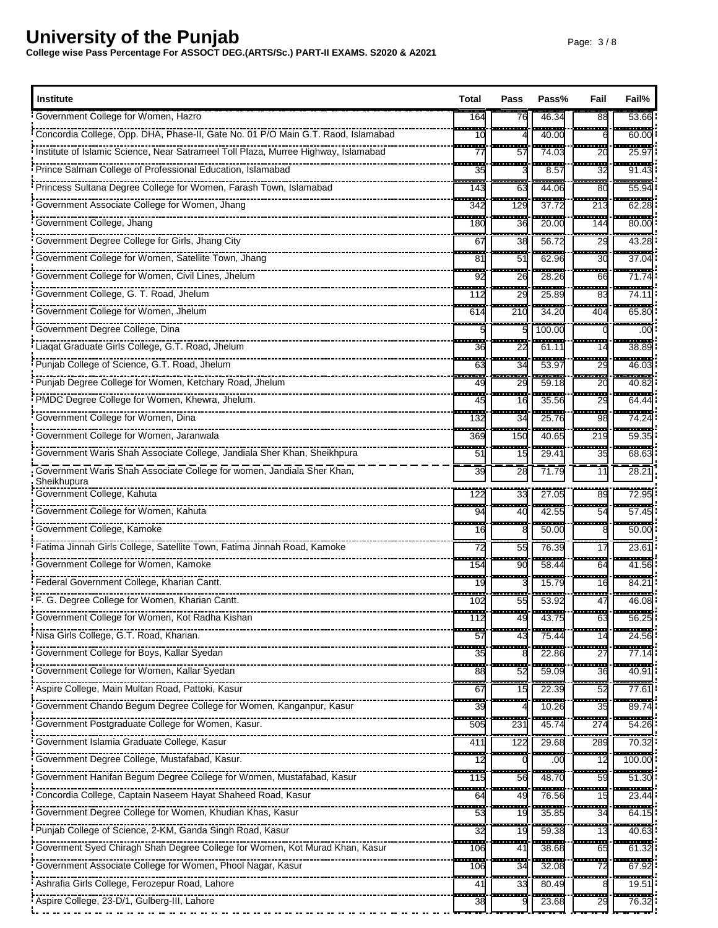| <b>Institute</b>                                                                   | Total                          | Pass                           | Pass%             | Fail                 | Fail%                       |
|------------------------------------------------------------------------------------|--------------------------------|--------------------------------|-------------------|----------------------|-----------------------------|
| Government College for Women, Hazro                                                | 164                            | 76                             | 46.34             | $\overline{88}$      | 53.66                       |
| Concordia College, Opp. DHA, Phase-II, Gate No. 01 P/O Main G.T. Raod, Islamabad   | ---<br>10                      |                                | ------<br>40.00   | --------<br>6        | ------<br>60.00             |
| Institute of Islamic Science, Near Satrameel Toll Plaza, Murree Highway, Islamabad | œ.<br>77                       | man a<br>57                    | -------<br>74.03  | <del>.</del> .<br>20 | -------<br>25.97            |
| Prince Salman College of Professional Education, Islamabad                         | ---<br>35                      |                                | -----<br>8.57     | أسحمه<br>32          | ------<br>91.43             |
|                                                                                    | .<br>143                       | .<br>63                        | 44.06             | <u>mana</u><br>80    | ------<br>55.94             |
| Government Associate College for Women, Jhang                                      | <u> 222 -</u><br>342           | ------<br>129                  | ------<br>37.72   | -----<br>213         | ------<br>62.28             |
| Government College, Jhang                                                          | 180                            | 36                             | 20.00             | 144                  | 80.00                       |
| Government Degree College for Girls, Jhang City                                    | ---<br>67                      | ÷<br>38                        | <br>56.72         | -------<br>29        | -------<br>43.28            |
| Government College for Women, Satellite Town, Jhang                                | ш.<br>81                       | <b>TELESCO</b><br>51           | ------<br>62.96   | <u>.</u><br>30       | --------<br>37.04           |
| Government College for Women, Civil Lines, Jhelum                                  | ш.<br>92                       | Ŧ.<br>26                       | -------<br>28.26  | -------<br>66        | <u>.</u><br>71.74           |
| Government College, G. T. Road, Jhelum                                             | .<br>112                       | ---<br>29                      | 25.89             | -------<br>83        | <br>74.11                   |
| Government College for Women, Jhelum                                               | ----<br>614                    | .<br>210                       | -------<br>34.20  | <br>404              | -------<br>65.80            |
| Government Degree College, Dina                                                    |                                |                                | 100.00            |                      | .00                         |
| Liagat Graduate Girls College, G.T. Road, Jhelum                                   | $-1$<br>36                     | $-$<br>22                      | 61.11             | ------<br>14         | <br>38.89                   |
| Punjab College of Science, G.T. Road, Jhelum                                       | <b>COLOR</b><br>63             | <b>The Co</b><br>34            | ------<br>53.9    | -------<br>29        | -------<br>46.0             |
| Punjab Degree College for Women, Ketchary Road, Jhelum                             | mana.<br>49                    | ш.<br>29                       | 59.18             | <del>.</del><br>20   | -----<br>40.82              |
| PMDC Degree College for Women, Khewra, Jhelum.                                     | $\overline{\phantom{a}}$<br>45 | $\overline{\phantom{a}}$<br>16 | $\frac{1}{35.56}$ | .<br>29              | -------<br>64.44            |
| Government College for Women, Dina                                                 | e e c<br>132                   | m.<br>34                       | 25.76             | <br>98               | -----<br>74.24              |
|                                                                                    | ---<br>369                     | -------<br>150                 | ------<br>40.65   | 1222.00<br>219       | -------<br>59.35            |
| Government Waris Shah Associate College, Jandiala Sher Khan, Sheikhpura            | ÷<br>51                        | 15                             | $29.4^{\circ}$    | -----<br>35          | ------<br>68.63             |
| Government Waris Shah Associate College for women, Jandiala Sher Khan,             | 39                             | 28                             | 71.79             | 11                   | 28.21                       |
| Sheikhupura                                                                        |                                |                                |                   |                      |                             |
| Government College, Kahuta                                                         | 122<br>ш.                      | 33<br>an an                    | 27.05<br>------   | 89<br>--------       | 72.95<br>--------           |
| Government College for Women, Kahuta                                               | 94<br>                         | 40<br>---                      | 42.55<br>------   | 54<br><del>.</del>   | 57.45<br>------             |
| Government College, Kamoke                                                         | 16<br>---                      | $-1$                           | 50.00             | 8<br>--------        | 50.00<br>------             |
| Fatima Jinnah Girls College, Satellite Town, Fatima Jinnah Road, Kamoke            | 72<br>----                     | 55<br>----                     | 76.39<br>.        | 17<br>--------       | 23.61<br>-------            |
| Government College for Women, Kamoke                                               | 154<br>--                      | 90                             | 58.44             | 64<br>÷              | 41.56                       |
| Federal Government College, Kharian Cantt.                                         | 19                             | $- - -$                        | 15.79             | 16<br>---            | 84.21<br>                   |
| F. G. Degree College for Women, Kharian Cantt.                                     | 102                            | 55                             | 53.92             | 47                   | 46.08                       |
| Government College for Women, Kot Radha Kishan                                     | 112<br>œ                       | 49<br>--                       | 43.75             | 63<br>a an           | $\overline{56.25}$<br>----- |
|                                                                                    | 57<br>÷                        | 43                             | 75.44<br>.        | 14<br>.              | 24.56<br><del>.</del>       |
|                                                                                    | 35<br>an a                     | .                              | 22.86             | 27<br>               | 77.14<br>------             |
| Government College for Women, Kallar Syedan                                        | 88<br>553                      | 52<br>÷                        | 59.09             | 36<br>a an           | 40.91<br>------             |
| Aspire College, Main Multan Road, Pattoki, Kasur                                   | 67<br>$\overline{\phantom{a}}$ | 15                             | 22.39             | 52<br>------         | 77.61<br>                   |
|                                                                                    | 39<br>œ                        |                                | 10.26             | 35<br>----           | 89.74<br>.                  |
|                                                                                    | 505                            | 231                            | 45.74             | 274                  | 54.26                       |
| Government Islamia Graduate College, Kasur                                         | 411                            | 122                            | 29.68             | 289<br>----          | 70.32<br><del></del>        |
| Government Degree College, Mustafabad, Kasur.                                      | 12                             |                                | .00               | 12                   | 100.00                      |
| Government Hanifan Begum Degree College for Women, Mustafabad, Kasur               | 115                            | 56                             | 48.70             | a a s<br>59          | 51.30                       |
| Concordia College, Captain Naseem Hayat Shaheed Road, Kasur                        | ш.<br>64                       | an a<br>49                     | 76.56             | 15                   | ------<br>23.44             |
| Government Degree College for Women, Khudian Khas, Kasur                           | 53<br>53                       | 19                             | 35.85             | 34                   | 64.15                       |
|                                                                                    | ---<br>32                      | ш.<br>19                       | 59.38             | فسحت<br>13           | ------<br>40.63             |
| Goverment Syed Chiragh Shah Degree College for Women, Kot Murad Khan, Kasur        | an a<br>106                    | 41                             | $\frac{1}{38.68}$ | ---<br>65            | 61.32                       |
|                                                                                    | ----<br>106                    | ÷<br>34                        | -----<br>32.08    | -----<br>72          | ------<br>67.92             |
|                                                                                    | H<br>41                        | 33                             | 80.49             | 8                    | $\frac{1}{19.51}$           |
| Aspire College, 23-D/1, Gulberg-III, Lahore                                        | <b>COLOR</b><br>38             | <b>Take</b>                    | .<br>23.68        | .<br>29              | .<br>76.32                  |
| .                                                                                  |                                |                                |                   |                      |                             |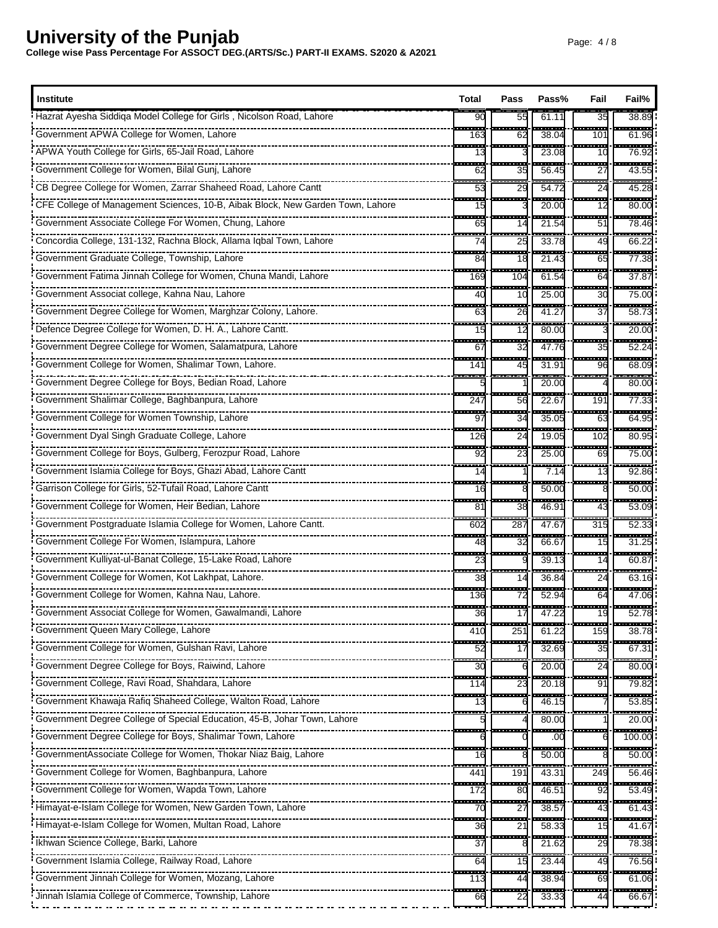| <b>Institute</b>                                                                          | Total                   | Pass                           | Pass%                             | Fail                            | Fail%               |
|-------------------------------------------------------------------------------------------|-------------------------|--------------------------------|-----------------------------------|---------------------------------|---------------------|
| Hazrat Ayesha Siddiqa Model College for Girls, Nicolson Road, Lahore                      | 90                      | 55                             | 61.11                             | 35                              | 38.89               |
| Government APWA College for Women, Lahore                                                 | ---<br>163              | <b>STAR</b><br>62              | ------<br>38.04                   | $-11111$<br>101                 | ------<br>61.96     |
| APWA Youth College for Girls, 65-Jail Road, Lahore                                        | 13                      |                                | 23.08                             | ------<br>10                    | ------<br>76.92     |
| Government College for Women, Bilal Gunj, Lahore                                          | H<br>62                 | 35                             | 56.45                             | ------<br>27                    | -------<br>43.55    |
| CB Degree College for Women, Zarrar Shaheed Road, Lahore Cantt                            | Ŧ.<br>53                | --<br>29                       | 54.72                             | ---<br>24                       | 45.28               |
|                                                                                           | a a s<br>15             | .                              | ------<br>20.00                   | .<br>12                         | ------<br>80.00     |
| Government Associate College For Women, Chung, Lahore                                     | 65                      | 14                             | 21.54                             | H<br>51                         | ------<br>78.46     |
| Concordia College, 131-132, Rachna Block, Allama Iqbal Town, Lahore                       | ÷<br>74                 | ---<br>25                      | 33.78                             | ÷<br>49                         | .<br>66.22          |
| Government Graduate College, Township, Lahore                                             | an a<br>84              | 18                             | 21.43                             | <b>TELE</b><br>65               | ------<br>77.38     |
| Government Fatima Jinnah College for Women, Chuna Mandi, Lahore                           | ----<br>169             | $-1$<br>104                    | -----<br>61.54                    | -----<br>64                     | ------<br>37.8      |
| Government Associat college, Kahna Nau, Lahore                                            | H<br>40                 | 10                             | $\frac{1}{25.00}$                 | ł<br>30                         | 75.00               |
| Government Degree College for Women, Marghzar Colony, Lahore.                             | <b>The Co</b><br>63     | a mar<br>26                    | ستعبث<br>41.27                    | ------<br>37                    | .<br>58.7           |
| Defence Degree College for Women, D. H. A., Lahore Cantt.                                 | 15                      | 12                             | 80.00                             |                                 | 20.00               |
| Government Degree College for Women, Salamatpura, Lahore                                  | ÷<br>67                 | ---<br>32                      | $\overline{\phantom{a}}$<br>47.76 | <br>35                          | ------<br>52.24     |
| Government College for Women, Shalimar Town, Lahore.                                      | 141                     | <b>STAR</b><br>45              | 31.91                             | ---<br>96                       | ------<br>68.09     |
| Government Degree College for Boys, Bedian Road, Lahore                                   | ---                     | ---                            | 20.00                             | -------                         | ------<br>80.00     |
| Government Shalimar College, Baghbanpura, Lahore                                          | ŀ<br>247                | 56                             | 22.67                             | $\overline{\phantom{a}}$<br>191 | -------<br>77.33    |
| Government College for Women Township, Lahore                                             | ---<br>97               | ÷.<br>34                       | 35.05                             | -----<br>63                     | -----<br>64.95      |
| Government Dyal Singh Graduate College, Lahore                                            | a a s<br>126            | ---<br>24                      | 19.05                             | ---<br>102                      | ------<br>80.95     |
| Government College for Boys, Gulberg, Ferozpur Road, Lahore                               | ---<br>92               | ---<br>23                      | 25.00                             | ----<br>69                      | 75.00               |
| Government Islamia College for Boys, Ghazi Abad, Lahore Cantt                             | 14                      |                                | 7.14                              | m.<br>13                        | 92.86               |
| Garrison College for Girls, 52-Tufail Road, Lahore Cantt                                  | ---<br>16               |                                | 50.00                             | -------                         | 50.00               |
| Government College for Women, Heir Bedian, Lahore                                         | .<br>81                 | $\overline{\phantom{a}}$<br>38 | 46.91                             | ------<br>43                    | ------<br>53.09     |
| Government Postgraduate Islamia College for Women, Lahore Cantt.                          | .<br>602                | $- - -$<br>287                 | 47.67                             | -----<br>315                    | -----<br>52.3       |
|                                                                                           | ,,,,<br>48              | ----<br>32                     | ------<br>66.67                   | -------<br>15                   | <br>31.25           |
| Government Kulliyat-ul-Banat College, 15-Lake Road, Lahore                                | 23                      |                                | 39.13                             | 14                              | 60.87               |
| Government College for Women, Kot Lakhpat, Lahore.                                        | ---<br>38               | --------<br>14                 | 36.84                             | $- - - -$<br>24                 | -------<br>63.16    |
| Government College for Women, Kahna Nau, Lahore.                                          | - - -<br>136            | 72                             | 52.94                             | 64                              | -------<br>47.06    |
| Government Associat College for Women, Gawalmandi, Lahore                                 | <del>.</del> .<br>36    | . <u>Inners and</u> .          | 47.22                             | -- <u>-------</u>               | ----------<br>52.78 |
| Government Queen Mary College, Lahore                                                     | 41C                     | -------<br>251                 | 61.22                             | 159                             | -------<br>38.78    |
| Format College for Women, Gulshan Ravi, Lahore                                            | $\sim$<br>52            | ļ<br>17                        | 32.69                             | <b>The Co</b><br>35             | ------<br>67.31     |
| _________________________________<br>FINITE INTERFERIES COLLEGE FOR BOYS, Raiwind, Lahore | 30                      |                                | 20.00                             | 24                              | 80.00               |
| Government College, Ravi Road, Shahdara, Lahore                                           | ----<br>11 <sup>2</sup> | $- -$<br>23                    | 20.18                             | ≕<br>91                         | 79.82               |
|                                                                                           | 13                      |                                | 46.15                             |                                 | 53.85               |
|                                                                                           | ----                    |                                | .<br>80.00                        |                                 | 20.00               |
| ----------------------<br>Government Degree College for Boys, Shalimar Town, Lahore       |                         |                                | .00                               |                                 | $\frac{1}{100.00}$  |
| GovernmentAssociate College for Women, Thokar Niaz Baig, Lahore                           | ----<br>16              |                                | -----<br>50.00                    |                                 | 50.00               |
|                                                                                           | m.<br>44٬               | 191                            | 43.31                             | 249                             | ------<br>56.46     |
| Government College for Women, Wapda Town, Lahore                                          | ----<br>172             | ÷<br>80                        | 46.51                             | ----<br>92                      | 53.49               |
| Himayat-e-Islam College for Women, New Garden Town, Lahore                                | 70                      | 27                             | 38.57                             | 43                              | 61.43               |
| Himayat-e-Islam College for Women, Multan Road, Lahore                                    | m.<br>36                | man.<br>21                     | -----<br>58.33                    | -------<br>15                   | ------<br>41.67     |
| Ikhwan Science College, Barki, Lahore                                                     | H<br>37                 |                                | 21.62                             | 29                              | 78.38               |
| Government Islamia College, Railway Road, Lahore                                          | 55<br>64                | 15                             | 23.44                             | $\overline{\phantom{a}}$<br>49  | <br>76.56           |
| Government Jinnah College for Women, Mozang, Lahore                                       | <b>Tara</b><br>113      | ---<br>44                      | 38.94                             | a an<br>69                      | 61.06               |
| Jinnah Islamia College of Commerce, Township, Lahore                                      | 66                      | 22                             | 33.33                             | 44                              | 66.67               |
|                                                                                           |                         |                                |                                   |                                 |                     |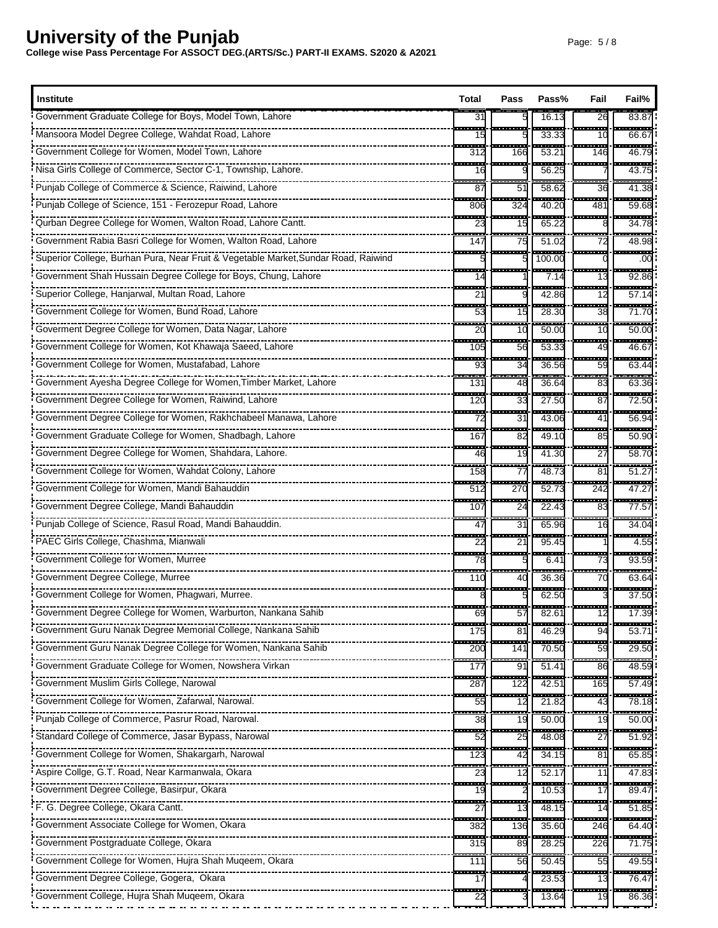| Institute                                                                                                                                                                                                                      |                                                    | Pass                           | Pass%                  | Fail                                                                                                | Fail%                                                            |
|--------------------------------------------------------------------------------------------------------------------------------------------------------------------------------------------------------------------------------|----------------------------------------------------|--------------------------------|------------------------|-----------------------------------------------------------------------------------------------------|------------------------------------------------------------------|
| Government Graduate College for Boys, Model Town, Lahore                                                                                                                                                                       | 31                                                 |                                | 16.13                  | 26                                                                                                  | 83.87                                                            |
|                                                                                                                                                                                                                                | <b>The State</b><br>15                             | --------                       | <br>33.33              | 10                                                                                                  | -------<br>66.67                                                 |
| Government College for Women, Model Town, Lahore                                                                                                                                                                               | .<br>312                                           | -----<br>166                   | 53.21                  | ------<br>146                                                                                       | .<br>46.79                                                       |
| Nisa Girls College of Commerce, Sector C-1, Township, Lahore.                                                                                                                                                                  | $\overline{\phantom{a}}$<br>16                     | ---                            | -----<br>56.25         |                                                                                                     | <br>43.75                                                        |
| Punjab College of Commerce & Science, Raiwind, Lahore                                                                                                                                                                          | 87                                                 | 51                             | 58.62                  | ---<br>36                                                                                           | 41.38                                                            |
| Punjab College of Science, 151 - Ferozepur Road, Lahore                                                                                                                                                                        | a an a<br>806                                      | - - -<br>324                   | ------<br>40.20        | <u> 1989 - 198</u><br>481                                                                           | .<br>59.68                                                       |
| Qurban Degree College for Women, Walton Road, Lahore Cantt.                                                                                                                                                                    | 23                                                 | 15                             | 65.22                  |                                                                                                     | ------<br>34.78                                                  |
| Government Rabia Basri College for Women, Walton Road, Lahore                                                                                                                                                                  | ---<br>147                                         | $\overline{\phantom{a}}$<br>75 | 51.02                  | .<br>72                                                                                             | -----<br>48.98                                                   |
| Superior College, Burhan Pura, Near Fruit & Vegetable Market, Sundar Road, Raiwind                                                                                                                                             |                                                    |                                | 100.00                 | - - -                                                                                               | $\overline{a}$<br>.00                                            |
| Government Shah Hussain Degree College for Boys, Chung, Lahore                                                                                                                                                                 | 14                                                 |                                | 7.14                   | --<br>13                                                                                            | 92.86                                                            |
| Superior College, Hanjarwal, Multan Road, Lahore                                                                                                                                                                               | ---<br>21                                          |                                | 42.86                  | ---<br>12                                                                                           | ------<br>57.14                                                  |
| Government College for Women, Bund Road, Lahore                                                                                                                                                                                | an an<br>53                                        | <b>The Co</b><br>15            | 28.30                  | .<br>38                                                                                             | -------<br>71.70                                                 |
|                                                                                                                                                                                                                                | $-1$<br>2(                                         | ---<br>10                      | 50.00                  | ana.<br>10                                                                                          | ------<br>50.00                                                  |
| Government College for Women, Kot Khawaja Saeed, Lahore                                                                                                                                                                        | ---<br>105                                         | ÷<br>56                        | 53.33                  | ---<br>49                                                                                           | <br>46.67                                                        |
| Government College for Women, Mustafabad, Lahore                                                                                                                                                                               | <b>STAR</b><br>93                                  | .<br>34                        | .<br>36.56             | -------<br>59                                                                                       | <br>63.44                                                        |
| Government Ayesha Degree College for Women, Timber Market, Lahore                                                                                                                                                              | ---<br>131                                         | ---<br>48                      | 36.64                  | ------<br>83                                                                                        | ------<br>63.36                                                  |
| Government Degree College for Women, Raiwind, Lahore                                                                                                                                                                           | 120                                                | 33                             | 27.50                  | $-$<br>87                                                                                           | 72.50                                                            |
| Government Degree College for Women, Rakhchabeel Manawa, Lahore                                                                                                                                                                | 72                                                 | 31                             | 43.06                  | a an<br>41                                                                                          | -----<br>56.94                                                   |
| Government Graduate College for Women, Shadbagh, Lahore                                                                                                                                                                        | 533<br>167                                         | œ<br>82                        | -------<br>49.10       | -------<br>85                                                                                       | -------<br>50.90                                                 |
| Government Degree College for Women, Shahdara, Lahore.                                                                                                                                                                         | 46                                                 | 19                             | 41.30                  | ---<br>27                                                                                           | 58.70                                                            |
| Government College for Women, Wahdat Colony, Lahore                                                                                                                                                                            | ----<br>158                                        | ---<br>77                      | 48.73                  | $-1$<br>81                                                                                          | 51.27                                                            |
|                                                                                                                                                                                                                                | 512                                                | 27 <sub>C</sub>                | 52.73                  | 242                                                                                                 | .<br>47.27                                                       |
| Government Degree College, Mandi Bahauddin                                                                                                                                                                                     | ---<br>107                                         | ---<br>24                      | 22.43                  | 53<br>83                                                                                            | ------<br>77.57                                                  |
| Punjab College of Science, Rasul Road, Mandi Bahauddin.                                                                                                                                                                        | 47                                                 | 31                             | 65.96                  | ÷<br>16                                                                                             | 34.04                                                            |
| PAEC Girls College, Chashma, Mianwali                                                                                                                                                                                          | <b>THE</b><br>22                                   | - - -<br>2 <sup>1</sup>        | ------<br>95.45        | --------                                                                                            | ----<br>4.55                                                     |
|                                                                                                                                                                                                                                | 78                                                 |                                | 6.41                   | 73                                                                                                  | 93.59                                                            |
| Government Degree College, Murree                                                                                                                                                                                              | 110                                                | 40                             | 36.36                  | 70                                                                                                  | <br>63.64                                                        |
|                                                                                                                                                                                                                                |                                                    |                                | 62.50                  |                                                                                                     | 37.50                                                            |
|                                                                                                                                                                                                                                | 69                                                 | 51                             | 82.61                  | 12                                                                                                  | 17.39                                                            |
| . Government Guru Nanak Degree Memorial College, Nankana Sahib                                                                                                                                                                 | <br>175                                            | ŀ<br>81                        | 46.29                  | ÷<br>94                                                                                             | <br>53.71                                                        |
| Government Guru Nanak Degree College for Women, Nankana Sahib                                                                                                                                                                  | 200                                                | 141                            | 70.50                  | 59                                                                                                  | 29.50                                                            |
| Government Graduate College for Women, Nowshera Virkan                                                                                                                                                                         | 177                                                | 91                             | 51.41                  | 86                                                                                                  | 48.59                                                            |
| Government Muslim Girls College, Narowal                                                                                                                                                                                       | 287                                                | 122                            | 42.51                  | 165                                                                                                 | 57.49                                                            |
| FINITE INTERNATIONAL COLLEGE FOR THE COVERT THE COVERT THAT COLLEGE FOR THE COVERT THAT COVERT THE COVERT THAT THE COVERT THAT THE COVERT THAT THE COVERT THAT THE COVERT THAT THE COVERT THAT THE COVERT THAT THE COVERT THAT | ---<br>55                                          | 12                             | 21.82                  | 43                                                                                                  | 78.18                                                            |
| Punjab College of Commerce, Pasrur Road, Narowal.                                                                                                                                                                              | 38                                                 | 19                             | 50.00                  | 19                                                                                                  | 50.00                                                            |
| Standard College of Commerce, Jasar Bypass, Narowal                                                                                                                                                                            | 52                                                 | 25                             | 48.08                  | 27                                                                                                  | 51.92                                                            |
| Government College for Women, Shakargarh, Narowal                                                                                                                                                                              | 123                                                | 42                             | 34.15                  | 81                                                                                                  | 65.85                                                            |
|                                                                                                                                                                                                                                | H<br>23                                            | 12                             | 52.17                  | 11                                                                                                  | 47.83                                                            |
| Government Degree College, Basirpur, Okara                                                                                                                                                                                     | 19                                                 |                                | 10.53                  | 17                                                                                                  | 89.47                                                            |
|                                                                                                                                                                                                                                | $\overline{2}$                                     | 13                             | 48.15                  | 14                                                                                                  | 51.85                                                            |
| Government Associate College for Women, Okara                                                                                                                                                                                  | 382                                                | 136                            | 35.60                  | 246                                                                                                 | 64.40                                                            |
| Government Postgraduate College, Okara                                                                                                                                                                                         | ----<br>315                                        | 89                             | 28.25                  | 226                                                                                                 | 71.75                                                            |
| Government College for Women, Hujra Shah Muqeem, Okara                                                                                                                                                                         | 111                                                | 56                             | 50.45                  | 55                                                                                                  | 49.55                                                            |
|                                                                                                                                                                                                                                | 17                                                 |                                | 23.53                  | <b>The Co</b><br>13                                                                                 | ------<br>76.47                                                  |
| Government College, Hujra Shah Muqeem, Okara                                                                                                                                                                                   | 22                                                 |                                | 13.64                  | 19                                                                                                  | 86.36                                                            |
| -------------------------------<br>-----------------------------                                                                                                                                                               | ---<br>---<br>œ<br>---<br>---<br>---<br>÷<br>a san | ----<br>$\sim$<br>H<br>.       | ------<br><del>.</del> | $\overline{\phantom{a}}$<br><b>STAR</b><br>ш.<br>---<br>œ<br>H<br>---<br>a an<br><br>a sa<br>------ | ------<br>--------<br>------<br>.<br>------<br>-------<br>------ |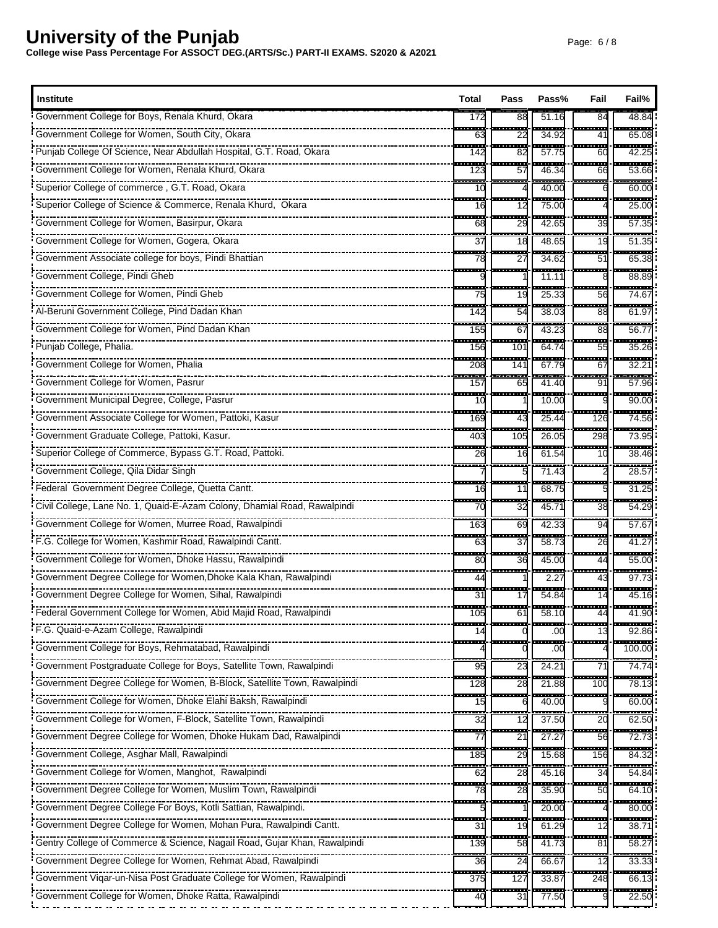| <b>Institute</b>                                                                                                                                                                                                                 | Total                           | Pass               | Pass%                     | Fail                           | Fail%                      |
|----------------------------------------------------------------------------------------------------------------------------------------------------------------------------------------------------------------------------------|---------------------------------|--------------------|---------------------------|--------------------------------|----------------------------|
| Government College for Boys, Renala Khurd, Okara                                                                                                                                                                                 | 172                             | 88                 | 51.16                     | 84                             | 48.84                      |
| Government College for Women, South City, Okara                                                                                                                                                                                  | ---<br>63                       | --------<br>22     | -------<br>34.92          | -------<br>41                  | ------<br>65.08            |
|                                                                                                                                                                                                                                  | <b>111</b><br>142               | ---------<br>82    | -------<br>57.75          | --------<br>60                 | --------<br>42.25          |
| Government College for Women, Renala Khurd, Okara                                                                                                                                                                                | ---<br>123                      | ---<br>$5^{\circ}$ | .<br>46.34                | -------<br>66                  | ------<br>53.66            |
| Superior College of commerce, G.T. Road, Okara                                                                                                                                                                                   | 10                              |                    | 40.00                     | $-$                            | ------<br>60.00            |
| Superior College of Science & Commerce, Renala Khurd, Okara                                                                                                                                                                      | m.<br>16                        | 12                 | .<br>75.00                |                                | ------<br>25.00            |
| Government College for Women, Basirpur, Okara                                                                                                                                                                                    | ÷.<br>68                        | ----<br>29         | ------<br>42.65           | <del>.</del><br>39<br>÷.       | --------<br>57.35          |
| FINITE TRIPLE TO THE COLLEGE FOR THE CONTROL OF COVERT TO CONTROL CONTROL CONTROL CONTROL OF CONTROL OF CONTROL CONTROL CONTROL CONTROL CONTROL CONTROL CONTROL CONTROL CONTROL CONTROL CONTROL CONTROL CONTROL CONTROL CONTRO   | --<br>37                        | ----<br>18         | 48.65                     | 19                             | ------<br>51.35            |
| Government Associate college for boys, Pindi Bhattian                                                                                                                                                                            | m.<br>78                        | -------<br>$^{2}$  | <br>34.62                 | ---------<br>51                | ------<br>65.38            |
| Government College, Pindi Gheb                                                                                                                                                                                                   |                                 |                    | 11.11                     | 8                              | 88.89                      |
| Government College for Women, Pindi Gheb                                                                                                                                                                                         | .<br>75                         | $- - -$<br>19      | .<br>25.33                | -------<br>56                  | ------<br>74.67            |
| Al-Beruni Government College, Pind Dadan Khan                                                                                                                                                                                    | ---<br>142                      | man.<br>54         | 38.03                     | a sa b<br>88                   | ------<br>61.9             |
| FINITE INTERFERIES IN THE GOVERNMENT COVERNMENT COMMON COMPANY CONTROL PRINCIPAL COVERTS.                                                                                                                                        | ----<br>155                     | ш.<br>67           | ------<br>43.23           | <u> 223</u><br>88              | -----<br>56.7              |
| <b>Punjab College, Phalia.</b>                                                                                                                                                                                                   | $\overline{\phantom{a}}$<br>156 | i<br>101           | 64.74                     | ÷<br>55                        | $\frac{1}{35.26}$          |
| Government College for Women, Phalia                                                                                                                                                                                             | ---<br>208                      | an an a<br>141     | <br>67.79                 | --------<br>67                 | ------<br>$32.2^{\circ}$   |
|                                                                                                                                                                                                                                  | ÷<br>157                        | H<br>65            | $-0.0000$<br>41.40        | <b>BRA</b><br>91               | $-0.0000$<br>57.96         |
| Government Municipal Degree, College, Pasrur                                                                                                                                                                                     | $\overline{\phantom{a}}$<br>10  | e e c              | 10.00                     | ------<br>ċ                    | -----<br>90.00             |
| Government Associate College for Women, Pattoki, Kasur                                                                                                                                                                           | a an a<br>169                   | ---<br>43          | $-$<br>25.44              | -----<br>126                   | -------<br>74.56           |
| Government Graduate College, Pattoki, Kasur.                                                                                                                                                                                     | ----<br>403                     | -------<br>105     | -------<br>26.05          | .<br>298                       | -------<br>73.95           |
| Superior College of Commerce, Bypass G.T. Road, Pattoki.                                                                                                                                                                         | 26                              | $-$<br>16          | 61.54                     | H<br>10                        | ------<br>38.46            |
| Government College, Qila Didar Singh                                                                                                                                                                                             |                                 | ----               | -------<br>71.43          | --------                       | ------<br>28.57            |
| Friederal Government Degree College, Quetta Cantt.                                                                                                                                                                               | an an<br>16                     | ---<br>11          | -------<br>68.75          | .                              | <br>31.25                  |
| Civil College, Lane No. 1, Quaid-E-Azam Colony, Dhamial Road, Rawalpindi                                                                                                                                                         | <br>70                          | an a<br>32         | 45.71                     | ------<br>38                   | <br>54.29                  |
| Government College for Women, Murree Road, Rawalpindi                                                                                                                                                                            | ļ<br>163                        | ---<br>69          | 42.33                     | æ.<br>94                       | -----<br>57.6              |
| F.G. College for Women, Kashmir Road, Rawalpindi Cantt.                                                                                                                                                                          | man a<br>63                     | man a<br>37        | 58.73                     | --------<br>26<br>--------     | ------<br>41.27            |
| Government College for Women, Dhoke Hassu, Rawalpindi                                                                                                                                                                            | $\overline{\phantom{a}}$<br>80  | ---<br>36          | -------<br>45.00          | 44<br>--------                 | -------<br>55.00           |
| Government Degree College for Women, Dhoke Kala Khan, Rawalpindi                                                                                                                                                                 | œ<br>44                         | --------           | ------<br>2.27<br>------  | 43                             | ------<br>97.7<br>-------- |
|                                                                                                                                                                                                                                  | .<br>31<br>----                 | ------<br>17       | 54.84                     | .<br>14<br><del>.</del>        | 45.16                      |
| i Federal Government College for Women, Abid Majid Road, Rawalpindi                                                                                                                                                              | 105                             | -----<br>61        | --------<br>58.10         | 44                             | -------<br>41.90           |
| F.G. Quaid-e-Azam College, Rawalpindi                                                                                                                                                                                            | $\overline{\phantom{a}}$        |                    | -----<br>.00              | ----<br>13                     | <br>92.86                  |
| Government College for Boys, Rehmatabad, Rawalpindi                                                                                                                                                                              |                                 |                    | .00                       |                                | 100.00                     |
|                                                                                                                                                                                                                                  | 95                              | 23                 | -------<br>24.21          | 71                             | --------<br>74.74          |
| For The Theorem College for Women, B-Block, Satellite Town, Rawalpindi                                                                                                                                                           | 128                             | 28                 | 21.88                     | 100                            | 78.13                      |
|                                                                                                                                                                                                                                  | Ì<br>15                         |                    | 40.00                     | <b>PERSONAL</b>                | 60.OC                      |
|                                                                                                                                                                                                                                  | $\overline{32}$                 | 12                 | 37.50                     | 20                             | 62.50                      |
|                                                                                                                                                                                                                                  | щ.<br>77                        | ļ<br>21            | 27.27                     | $\overline{\phantom{a}}$<br>56 | 72.73                      |
| . Government College, Asghar Mall, Rawalpindi                                                                                                                                                                                    | $\overline{\phantom{a}}$<br>185 | 29                 | 15.68                     | 156                            | 84.32                      |
| FINITED TRIPLET TO THE CORRECT TO THE COVERT THE COVERNMENT COMMON COMPANY COMMON TRIPLET TO THE COVERT THAT T<br>The COVERNMENT COMMON TRIPLET TO THE COMMON TRIPLET TO THE COVERNMENT TO THE COVERNMENT TO THE COVERNMENT TO T | <b>TER</b><br>62                | m.<br>28           | .<br>45.16                | ------<br>34                   | ------<br>54.84            |
|                                                                                                                                                                                                                                  | 78                              | 28                 | $\frac{1}{35.90}$         | 50                             | $\frac{1}{64.10}$          |
| Government Degree College For Boys, Kotli Sattian, Rawalpindi.                                                                                                                                                                   |                                 | ---                | .<br>20.00                | -------                        | ------<br>80.00            |
|                                                                                                                                                                                                                                  | H<br>31                         | 19                 | 61.29                     | .<br>12                        | ------<br>38.7             |
| Gentry College of Commerce & Science, Nagail Road, Gujar Khan, Rawalpindi                                                                                                                                                        | ---<br>139                      | ---<br>58          | <u> 222 - 22</u><br>41.73 | $\overline{\phantom{a}}$<br>81 | ------<br>58.27            |
| Government Degree College for Women, Rehmat Abad, Rawalpindi                                                                                                                                                                     | 36                              | 24                 | 66.67<br>------           | 12                             | 33.33                      |
| Government Viqar-un-Nisa Post Graduate College for Women, Rawalpindi                                                                                                                                                             | a san<br>375                    | ---<br>127         | 33.87                     | ----<br>248                    | ------<br>66.13<br>------- |
| Government College for Women, Dhoke Ratta, Rawalpindi                                                                                                                                                                            | 40                              | 31                 | 77.50                     |                                | 22.50                      |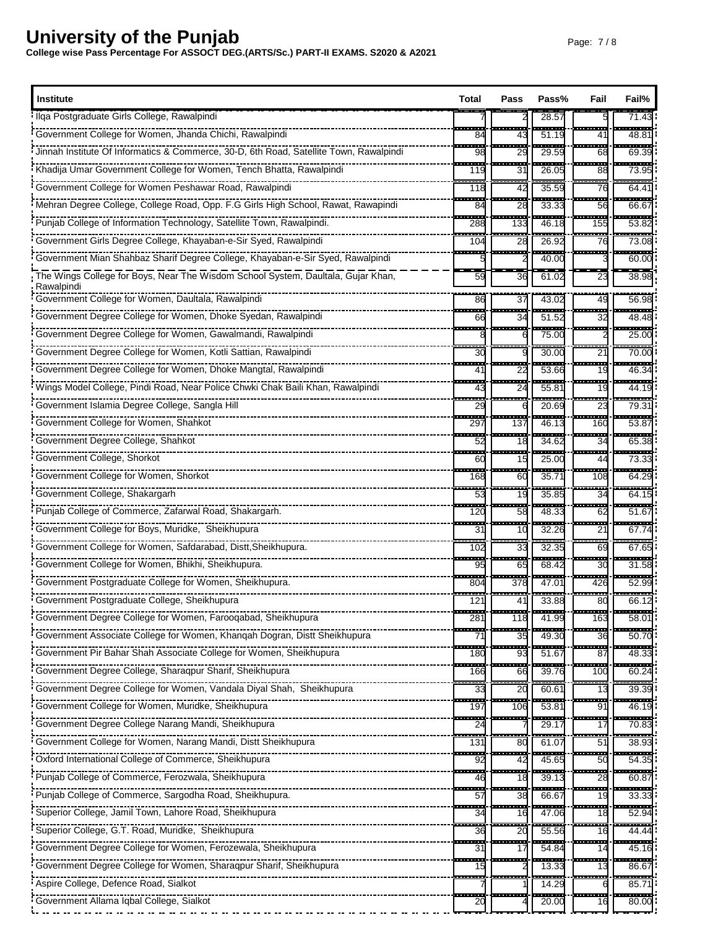| Institute                                                                                      | Total                          | Pass                            | Pass%              | Fail                           | Fail%                             |
|------------------------------------------------------------------------------------------------|--------------------------------|---------------------------------|--------------------|--------------------------------|-----------------------------------|
| Ilga Postgraduate Girls College, Rawalpindi                                                    |                                |                                 | 28.5               |                                | 71.4                              |
| Government College for Women, Jhanda Chichi, Rawalpindi                                        | ---<br>84                      | --------<br>43                  | ------<br>51.19    | ,,,,,,,,,<br>41                | ------<br>48.81                   |
| Jinnah Institute Of Informatics & Commerce, 30-D, 6th Road, Satellite Town, Rawalpindi         | m<br>98                        | 533<br>29                       | -----<br>29.59     | en en d<br>68                  | .<br>69.39                        |
| Khadija Umar Government College for Women, Tench Bhatta, Rawalpindi                            | <br>119                        | н.<br>31                        | -----<br>26.05     | nasad<br>88                    | ------<br>73.95                   |
|                                                                                                | .<br>118                       | 42                              | 35.59              | ana,<br>76                     | ------<br>$64.4^{\circ}$          |
| Mehran Degree College, College Road, Opp. F.G Girls High School, Rawat, Rawapindi              | man a<br>84                    | man a<br>28                     | -----<br>33.33     | -------<br>56                  | ------<br>66.6                    |
|                                                                                                | ÷<br>288                       | 133                             | 46.18              | <b>.</b><br>155                | ------<br>53.82                   |
| Government Girls Degree College, Khayaban-e-Sir Syed, Rawalpindi                               | ---<br>104                     | ÷<br>28                         | $- - - -$<br>26.92 | $- - - -$<br>76                | ------<br>73.08                   |
| Government Mian Shahbaz Sharif Degree College, Khayaban-e-Sir Syed, Rawalpindi                 |                                |                                 | 40.00              | -------                        | -------<br>60.00                  |
| The Wings College for Boys, Near The Wisdom School System, Daultala, Gujar Khan,<br>Rawalpindi | 59                             | 36                              | 61.02              | 23                             | 38.98                             |
| Government College for Women, Daultala, Rawalpindi                                             | 86                             | 37                              | 43.02              | 49                             | 56.98                             |
|                                                                                                | 66                             | --<br>34                        | 51.52              | .<br>32                        | -------<br>48.48                  |
|                                                                                                |                                |                                 | 75.00              | <u>.</u>                       | ------<br>25.00                   |
|                                                                                                | ---<br>30                      |                                 | 30.00              | ------<br>21                   | -----<br>70.00                    |
| Government Degree College for Women, Dhoke Mangtal, Rawalpindi                                 | 41                             | 22                              | 53.66              | $\overline{\phantom{a}}$<br>19 | 46.34                             |
|                                                                                                | <b>STAR</b><br>43              | <b>STAR</b><br>24               | ------<br>55.81    | 19                             | ------<br>44.19                   |
|                                                                                                | - 1<br>29                      |                                 | 20.69              | <u>and</u><br>23               | $\frac{1}{79.31}$                 |
| Government College for Women, Shahkot                                                          | ----<br>29.                    | -------<br>137                  | ------<br>46.13    | ------<br>160                  | ------<br>53.87                   |
|                                                                                                | ÷<br>52                        | ÷<br>18                         | ---<br>34.62       | a a s<br>34                    | $-$<br>65.38                      |
| Government College, Shorkot                                                                    | m.<br>60                       | ш.<br>15                        | ستعتب<br>25.00     | -------<br>44                  | ------<br>73.33                   |
| Government College for Women, Shorkot                                                          | 168                            | H<br>60                         | $\frac{1}{35.71}$  | 108                            | ------<br>64.29                   |
| Government College, Shakargarh                                                                 | œ<br>53                        | œ<br>19                         | $\cdots$<br>35.85  | .<br>34                        | .<br>64.15                        |
| Punjab College of Commerce, Zafarwal Road, Shakargarh.                                         | ш.<br>120                      | <b>BRE</b><br>58                | 48.33              | -------<br>62                  | -------<br>51.67                  |
| Government College for Boys, Muridke, Sheikhupura                                              | $-$<br>31                      | ÷<br>10                         | -------<br>32.26   | -------<br>21                  | ------<br>67.74                   |
| Government College for Women, Safdarabad, Distt, Sheikhupura.                                  | ---<br>102                     | ---<br>33                       | 32.35              | --------<br>69                 | -------<br>67.65                  |
|                                                                                                | a.<br>95                       | ----<br>65                      | .<br>68.42         | --------<br>30                 | 31.58                             |
| Government Postgraduate College for Women, Sheikhupura.                                        | i<br>804                       | $\overline{\phantom{a}}$<br>378 | 47.01              | $-$<br>426                     | 52.99                             |
| Government Postgraduate College, Sheikhupura                                                   | 121                            | ---<br>41                       | 33.88              | ----<br>80                     | $\overline{\phantom{a}}$<br>66.12 |
| Government Degree College for Women, Farooqabad, Sheikhupura                                   | 281                            | 118                             | 41.99              | 163                            | 58.01                             |
| Government Associate College for Women, Khanqah Dogran, Distt Sheikhupura                      | ш.<br>71                       | 35                              | 49.30              | an an<br>36                    | -----<br>50.70                    |
| Government Pir Bahar Shah Associate College for Women, Sheikhupura                             | ----<br>180                    | ÷<br>93                         | 51.67              | -----<br>87                    | -------<br>48.33                  |
| Government Degree College, Sharaqpur Sharif, Sheikhupura                                       | ---<br>166                     | a san<br>66                     | 39.76              | ------<br>100                  | ------<br>60.24                   |
|                                                                                                | ÷<br>33                        | ш.<br>20                        | 60.61              | ----<br>13                     | 39.39                             |
| Government College for Women, Muridke, Sheikhupura                                             | .<br>197                       | 106                             | 53.81              | $\overline{\phantom{a}}$<br>91 | 46.19                             |
| Government Degree College Narang Mandi, Sheikhupura                                            | a an<br>24                     |                                 | 29.17              | .<br>17                        | --------<br>70.83                 |
|                                                                                                | 131                            | 80                              | 61.07              | ------<br>51                   | 38.93                             |
|                                                                                                | H<br>92                        | 42                              | 45.65              | $- - -$<br>50                  | 54.35                             |
|                                                                                                | 46                             | H<br>18                         | 39.13              | ---<br>28                      | 60.87                             |
|                                                                                                | 553                            | <b>TER</b>                      |                    | -------                        | -------                           |
| Superior College, Jamil Town, Lahore Road, Sheikhupura                                         | 57<br>34                       | 38<br>16                        | 66.67<br>47.06     | 19<br>18                       | 33.33<br>52.94                    |
| Superior College, G.T. Road, Muridke, Sheikhupura                                              | ---<br>36                      | œ                               | ----               | an an a                        | ------<br>44.44                   |
|                                                                                                | 55                             | 20                              | 55.56<br>54.84     | 16<br>$\overline{\phantom{a}}$ | $\frac{1}{45.16}$                 |
|                                                                                                | 31<br>$\overline{\phantom{a}}$ | 17                              | -----              | 14<br>------                   | ------                            |
|                                                                                                | 15                             |                                 | 13.33              | 13                             | 86.67<br>$\frac{1}{85.71}$        |
| Aspire College, Defence Road, Sialkot                                                          | ----                           |                                 | 14.29<br>.         | 6<br>.                         | .                                 |
| Government Allama Iqbal College, Sialkot                                                       | 20                             |                                 | 20.00              | 16                             | 80.00                             |